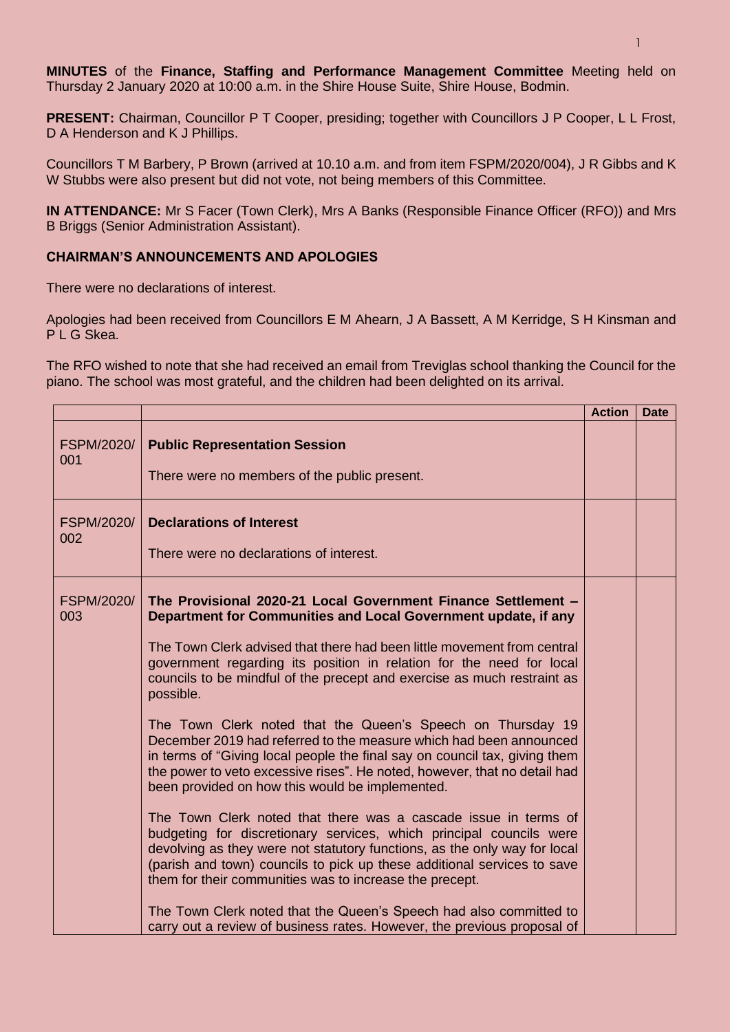**MINUTES** of the **Finance, Staffing and Performance Management Committee** Meeting held on Thursday 2 January 2020 at 10:00 a.m. in the Shire House Suite, Shire House, Bodmin.

**PRESENT:** Chairman, Councillor P T Cooper, presiding; together with Councillors J P Cooper, L L Frost, D A Henderson and K J Phillips.

Councillors T M Barbery, P Brown (arrived at 10.10 a.m. and from item FSPM/2020/004), J R Gibbs and K W Stubbs were also present but did not vote, not being members of this Committee.

**IN ATTENDANCE:** Mr S Facer (Town Clerk), Mrs A Banks (Responsible Finance Officer (RFO)) and Mrs B Briggs (Senior Administration Assistant).

## **CHAIRMAN'S ANNOUNCEMENTS AND APOLOGIES**

There were no declarations of interest.

Apologies had been received from Councillors E M Ahearn, J A Bassett, A M Kerridge, S H Kinsman and P L G Skea

The RFO wished to note that she had received an email from Treviglas school thanking the Council for the piano. The school was most grateful, and the children had been delighted on its arrival.

|                          |                                                                                                                                                                                                                                                                                                                                                                                                                                                                                                                                                                                                                                                                                                                                                                                                                                                                                                                                                                                                                                                                                                                                                                                                                                             | <b>Action</b> | <b>Date</b> |
|--------------------------|---------------------------------------------------------------------------------------------------------------------------------------------------------------------------------------------------------------------------------------------------------------------------------------------------------------------------------------------------------------------------------------------------------------------------------------------------------------------------------------------------------------------------------------------------------------------------------------------------------------------------------------------------------------------------------------------------------------------------------------------------------------------------------------------------------------------------------------------------------------------------------------------------------------------------------------------------------------------------------------------------------------------------------------------------------------------------------------------------------------------------------------------------------------------------------------------------------------------------------------------|---------------|-------------|
| <b>FSPM/2020/</b><br>001 | <b>Public Representation Session</b><br>There were no members of the public present.                                                                                                                                                                                                                                                                                                                                                                                                                                                                                                                                                                                                                                                                                                                                                                                                                                                                                                                                                                                                                                                                                                                                                        |               |             |
| <b>FSPM/2020/</b><br>002 | <b>Declarations of Interest</b><br>There were no declarations of interest.                                                                                                                                                                                                                                                                                                                                                                                                                                                                                                                                                                                                                                                                                                                                                                                                                                                                                                                                                                                                                                                                                                                                                                  |               |             |
| <b>FSPM/2020/</b><br>003 | The Provisional 2020-21 Local Government Finance Settlement -<br>Department for Communities and Local Government update, if any<br>The Town Clerk advised that there had been little movement from central<br>government regarding its position in relation for the need for local<br>councils to be mindful of the precept and exercise as much restraint as<br>possible.<br>The Town Clerk noted that the Queen's Speech on Thursday 19<br>December 2019 had referred to the measure which had been announced<br>in terms of "Giving local people the final say on council tax, giving them<br>the power to veto excessive rises". He noted, however, that no detail had<br>been provided on how this would be implemented.<br>The Town Clerk noted that there was a cascade issue in terms of<br>budgeting for discretionary services, which principal councils were<br>devolving as they were not statutory functions, as the only way for local<br>(parish and town) councils to pick up these additional services to save<br>them for their communities was to increase the precept.<br>The Town Clerk noted that the Queen's Speech had also committed to<br>carry out a review of business rates. However, the previous proposal of |               |             |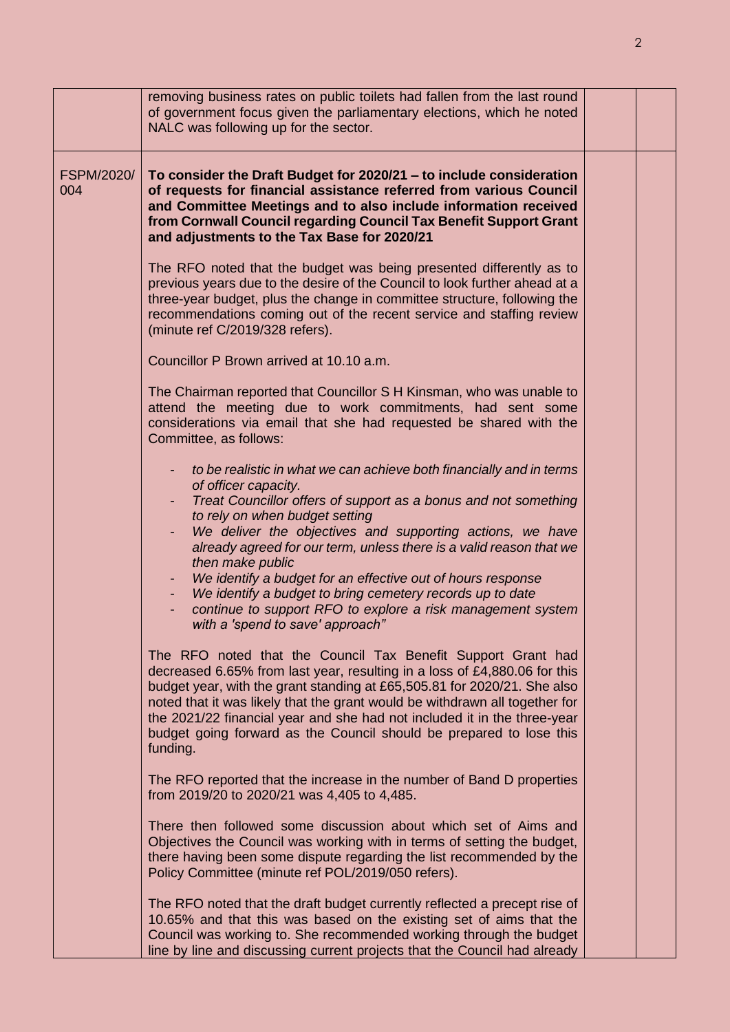|                   | removing business rates on public toilets had fallen from the last round<br>of government focus given the parliamentary elections, which he noted<br>NALC was following up for the sector.                                                                                                                                                                                                                                                                                                                                                                                               |  |
|-------------------|------------------------------------------------------------------------------------------------------------------------------------------------------------------------------------------------------------------------------------------------------------------------------------------------------------------------------------------------------------------------------------------------------------------------------------------------------------------------------------------------------------------------------------------------------------------------------------------|--|
| FSPM/2020/<br>004 | To consider the Draft Budget for 2020/21 - to include consideration<br>of requests for financial assistance referred from various Council<br>and Committee Meetings and to also include information received<br>from Cornwall Council regarding Council Tax Benefit Support Grant<br>and adjustments to the Tax Base for 2020/21                                                                                                                                                                                                                                                         |  |
|                   | The RFO noted that the budget was being presented differently as to<br>previous years due to the desire of the Council to look further ahead at a<br>three-year budget, plus the change in committee structure, following the<br>recommendations coming out of the recent service and staffing review<br>(minute ref C/2019/328 refers).                                                                                                                                                                                                                                                 |  |
|                   | Councillor P Brown arrived at 10.10 a.m.                                                                                                                                                                                                                                                                                                                                                                                                                                                                                                                                                 |  |
|                   | The Chairman reported that Councillor S H Kinsman, who was unable to<br>attend the meeting due to work commitments, had sent some<br>considerations via email that she had requested be shared with the<br>Committee, as follows:                                                                                                                                                                                                                                                                                                                                                        |  |
|                   | to be realistic in what we can achieve both financially and in terms<br>of officer capacity.<br>Treat Councillor offers of support as a bonus and not something<br>to rely on when budget setting<br>We deliver the objectives and supporting actions, we have<br>already agreed for our term, unless there is a valid reason that we<br>then make public<br>We identify a budget for an effective out of hours response<br>We identify a budget to bring cemetery records up to date<br>continue to support RFO to explore a risk management system<br>with a 'spend to save' approach" |  |
|                   | The RFO noted that the Council Tax Benefit Support Grant had<br>decreased 6.65% from last year, resulting in a loss of £4,880.06 for this<br>budget year, with the grant standing at £65,505.81 for 2020/21. She also<br>noted that it was likely that the grant would be withdrawn all together for<br>the 2021/22 financial year and she had not included it in the three-year<br>budget going forward as the Council should be prepared to lose this<br>funding.                                                                                                                      |  |
|                   | The RFO reported that the increase in the number of Band D properties<br>from 2019/20 to 2020/21 was 4,405 to 4,485.                                                                                                                                                                                                                                                                                                                                                                                                                                                                     |  |
|                   | There then followed some discussion about which set of Aims and<br>Objectives the Council was working with in terms of setting the budget,<br>there having been some dispute regarding the list recommended by the<br>Policy Committee (minute ref POL/2019/050 refers).                                                                                                                                                                                                                                                                                                                 |  |
|                   | The RFO noted that the draft budget currently reflected a precept rise of<br>10.65% and that this was based on the existing set of aims that the<br>Council was working to. She recommended working through the budget<br>line by line and discussing current projects that the Council had already                                                                                                                                                                                                                                                                                      |  |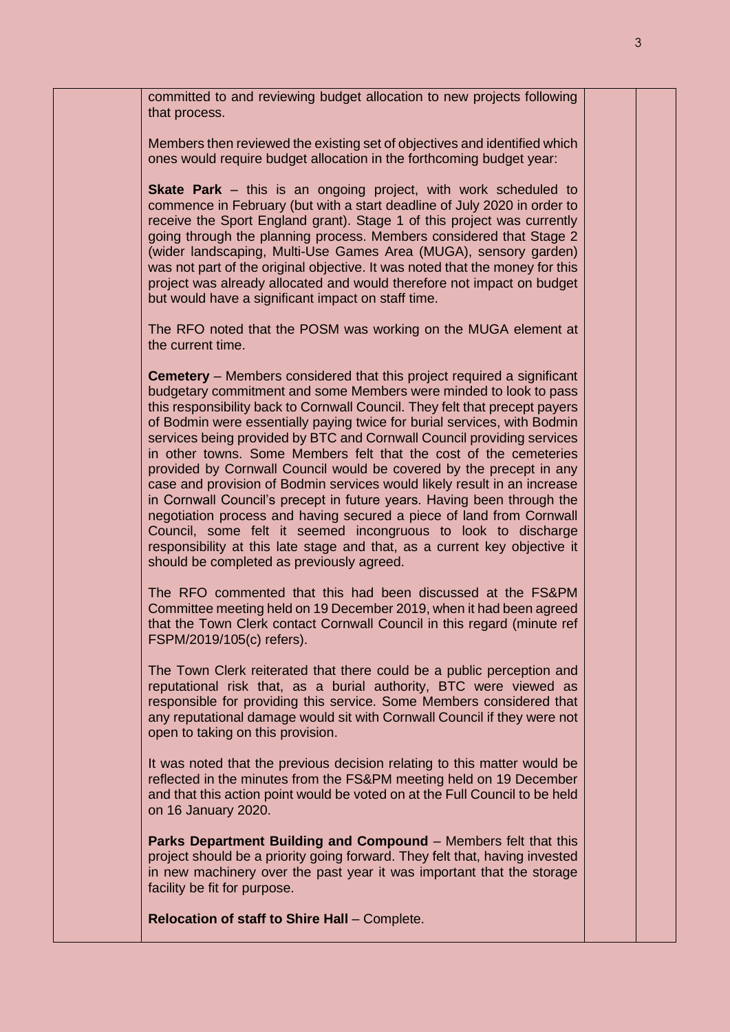committed to and reviewing budget allocation to new projects following that process. Members then reviewed the existing set of objectives and identified which ones would require budget allocation in the forthcoming budget year: **Skate Park** – this is an ongoing project, with work scheduled to commence in February (but with a start deadline of July 2020 in order to receive the Sport England grant). Stage 1 of this project was currently going through the planning process. Members considered that Stage 2 (wider landscaping, Multi-Use Games Area (MUGA), sensory garden) was not part of the original objective. It was noted that the money for this project was already allocated and would therefore not impact on budget but would have a significant impact on staff time. The RFO noted that the POSM was working on the MUGA element at the current time. **Cemetery** – Members considered that this project required a significant budgetary commitment and some Members were minded to look to pass this responsibility back to Cornwall Council. They felt that precept payers of Bodmin were essentially paying twice for burial services, with Bodmin services being provided by BTC and Cornwall Council providing services in other towns. Some Members felt that the cost of the cemeteries provided by Cornwall Council would be covered by the precept in any case and provision of Bodmin services would likely result in an increase in Cornwall Council's precept in future years. Having been through the negotiation process and having secured a piece of land from Cornwall Council, some felt it seemed incongruous to look to discharge responsibility at this late stage and that, as a current key objective it should be completed as previously agreed. The RFO commented that this had been discussed at the FS&PM Committee meeting held on 19 December 2019, when it had been agreed that the Town Clerk contact Cornwall Council in this regard (minute ref FSPM/2019/105(c) refers). The Town Clerk reiterated that there could be a public perception and reputational risk that, as a burial authority, BTC were viewed as responsible for providing this service. Some Members considered that any reputational damage would sit with Cornwall Council if they were not open to taking on this provision. It was noted that the previous decision relating to this matter would be reflected in the minutes from the FS&PM meeting held on 19 December and that this action point would be voted on at the Full Council to be held on 16 January 2020. **Parks Department Building and Compound** – Members felt that this project should be a priority going forward. They felt that, having invested in new machinery over the past year it was important that the storage facility be fit for purpose. **Relocation of staff to Shire Hall** – Complete.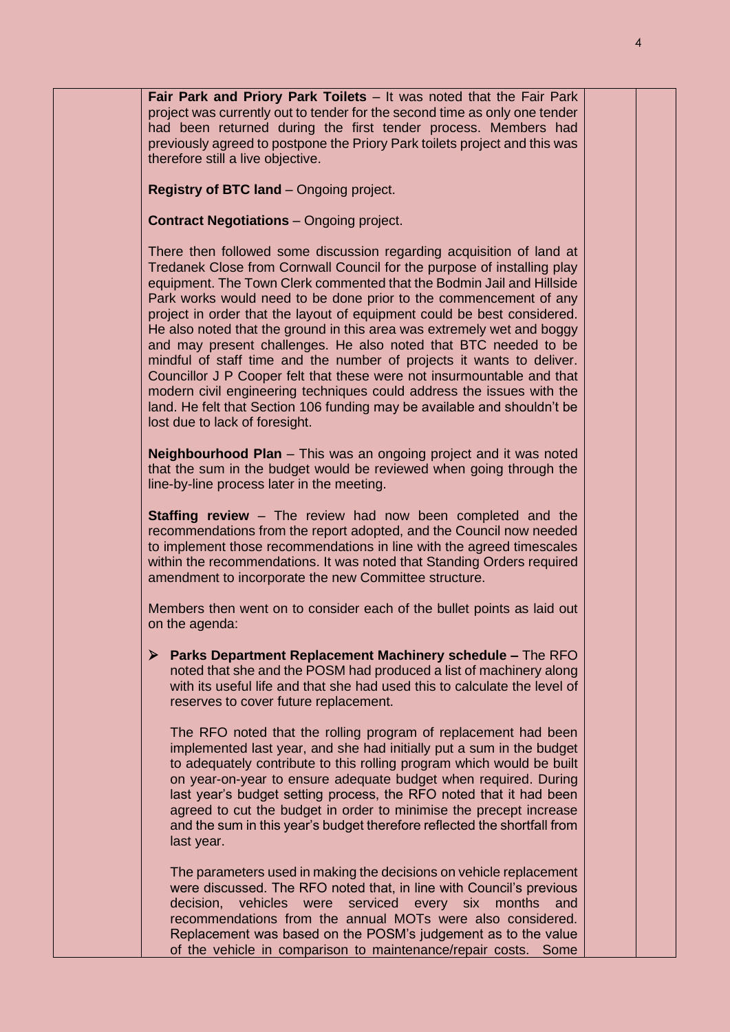**Fair Park and Priory Park Toilets** – It was noted that the Fair Park project was currently out to tender for the second time as only one tender had been returned during the first tender process. Members had previously agreed to postpone the Priory Park toilets project and this was therefore still a live objective. **Registry of BTC land** – Ongoing project. **Contract Negotiations** – Ongoing project. There then followed some discussion regarding acquisition of land at Tredanek Close from Cornwall Council for the purpose of installing play equipment. The Town Clerk commented that the Bodmin Jail and Hillside Park works would need to be done prior to the commencement of any project in order that the layout of equipment could be best considered. He also noted that the ground in this area was extremely wet and boggy and may present challenges. He also noted that BTC needed to be mindful of staff time and the number of projects it wants to deliver. Councillor J P Cooper felt that these were not insurmountable and that modern civil engineering techniques could address the issues with the land. He felt that Section 106 funding may be available and shouldn't be lost due to lack of foresight. **Neighbourhood Plan** – This was an ongoing project and it was noted that the sum in the budget would be reviewed when going through the line-by-line process later in the meeting. **Staffing review** – The review had now been completed and the recommendations from the report adopted, and the Council now needed to implement those recommendations in line with the agreed timescales within the recommendations. It was noted that Standing Orders required amendment to incorporate the new Committee structure. Members then went on to consider each of the bullet points as laid out on the agenda: ➢ **Parks Department Replacement Machinery schedule –** The RFO noted that she and the POSM had produced a list of machinery along with its useful life and that she had used this to calculate the level of reserves to cover future replacement. The RFO noted that the rolling program of replacement had been implemented last year, and she had initially put a sum in the budget to adequately contribute to this rolling program which would be built on year-on-year to ensure adequate budget when required. During last year's budget setting process, the RFO noted that it had been agreed to cut the budget in order to minimise the precept increase and the sum in this year's budget therefore reflected the shortfall from last year. The parameters used in making the decisions on vehicle replacement were discussed. The RFO noted that, in line with Council's previous decision, vehicles were serviced every six months and recommendations from the annual MOTs were also considered. Replacement was based on the POSM's judgement as to the value of the vehicle in comparison to maintenance/repair costs. Some

4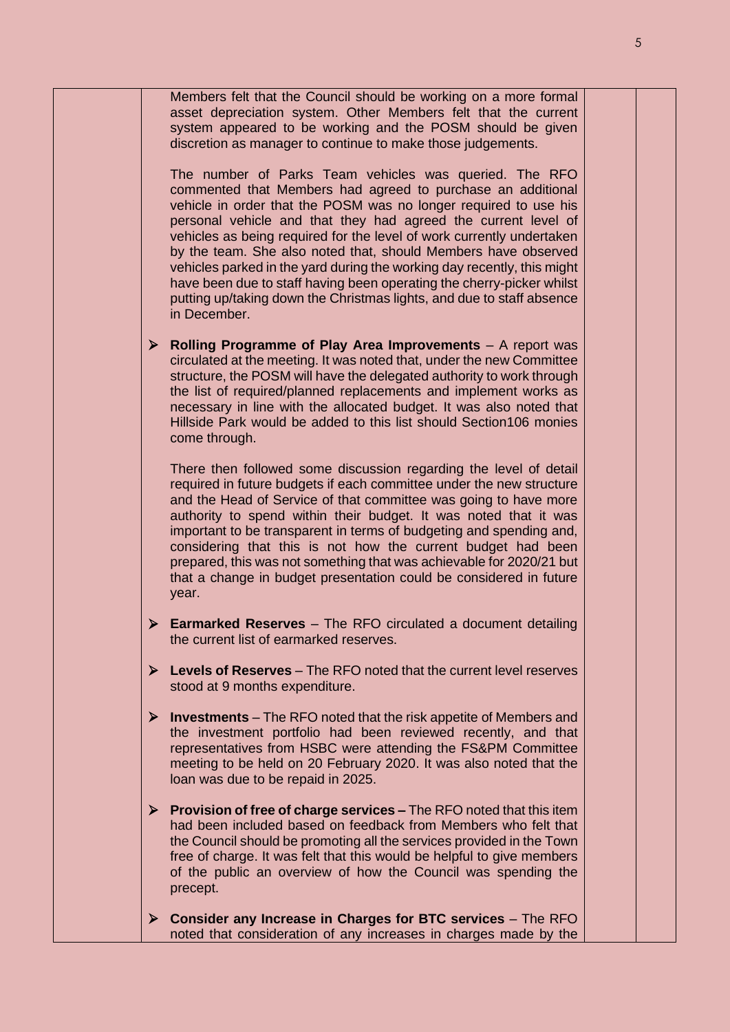Members felt that the Council should be working on a more formal asset depreciation system. Other Members felt that the current system appeared to be working and the POSM should be given discretion as manager to continue to make those judgements. The number of Parks Team vehicles was queried. The RFO commented that Members had agreed to purchase an additional vehicle in order that the POSM was no longer required to use his personal vehicle and that they had agreed the current level of vehicles as being required for the level of work currently undertaken by the team. She also noted that, should Members have observed vehicles parked in the yard during the working day recently, this might have been due to staff having been operating the cherry-picker whilst putting up/taking down the Christmas lights, and due to staff absence in December. ➢ **Rolling Programme of Play Area Improvements** – A report was circulated at the meeting. It was noted that, under the new Committee structure, the POSM will have the delegated authority to work through the list of required/planned replacements and implement works as necessary in line with the allocated budget. It was also noted that Hillside Park would be added to this list should Section106 monies come through. There then followed some discussion regarding the level of detail required in future budgets if each committee under the new structure and the Head of Service of that committee was going to have more authority to spend within their budget. It was noted that it was important to be transparent in terms of budgeting and spending and, considering that this is not how the current budget had been prepared, this was not something that was achievable for 2020/21 but that a change in budget presentation could be considered in future year. ➢ **Earmarked Reserves** – The RFO circulated a document detailing the current list of earmarked reserves. ➢ **Levels of Reserves** – The RFO noted that the current level reserves stood at 9 months expenditure. ➢ **Investments** – The RFO noted that the risk appetite of Members and the investment portfolio had been reviewed recently, and that representatives from HSBC were attending the FS&PM Committee meeting to be held on 20 February 2020. It was also noted that the loan was due to be repaid in 2025. ➢ **Provision of free of charge services –** The RFO noted that this item had been included based on feedback from Members who felt that the Council should be promoting all the services provided in the Town free of charge. It was felt that this would be helpful to give members of the public an overview of how the Council was spending the precept. ➢ **Consider any Increase in Charges for BTC services** – The RFO noted that consideration of any increases in charges made by the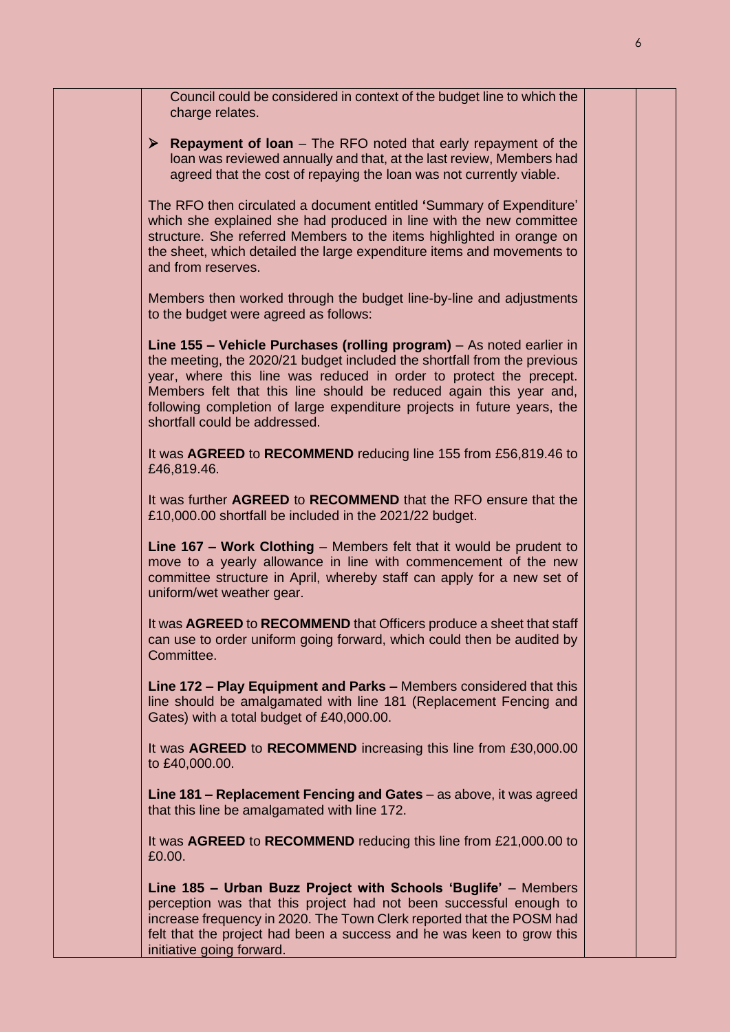| Council could be considered in context of the budget line to which the<br>charge relates.                                                                                                                                                                                                                                                                                                                |  |
|----------------------------------------------------------------------------------------------------------------------------------------------------------------------------------------------------------------------------------------------------------------------------------------------------------------------------------------------------------------------------------------------------------|--|
| $\triangleright$ Repayment of Ioan – The RFO noted that early repayment of the<br>loan was reviewed annually and that, at the last review, Members had<br>agreed that the cost of repaying the loan was not currently viable.                                                                                                                                                                            |  |
| The RFO then circulated a document entitled 'Summary of Expenditure'<br>which she explained she had produced in line with the new committee<br>structure. She referred Members to the items highlighted in orange on<br>the sheet, which detailed the large expenditure items and movements to<br>and from reserves.                                                                                     |  |
| Members then worked through the budget line-by-line and adjustments<br>to the budget were agreed as follows:                                                                                                                                                                                                                                                                                             |  |
| Line 155 - Vehicle Purchases (rolling program) - As noted earlier in<br>the meeting, the 2020/21 budget included the shortfall from the previous<br>year, where this line was reduced in order to protect the precept.<br>Members felt that this line should be reduced again this year and,<br>following completion of large expenditure projects in future years, the<br>shortfall could be addressed. |  |
| It was AGREED to RECOMMEND reducing line 155 from £56,819.46 to<br>£46,819.46.                                                                                                                                                                                                                                                                                                                           |  |
| It was further AGREED to RECOMMEND that the RFO ensure that the<br>£10,000.00 shortfall be included in the 2021/22 budget.                                                                                                                                                                                                                                                                               |  |
| Line 167 - Work Clothing - Members felt that it would be prudent to<br>move to a yearly allowance in line with commencement of the new<br>committee structure in April, whereby staff can apply for a new set of<br>uniform/wet weather gear.                                                                                                                                                            |  |
| It was AGREED to RECOMMEND that Officers produce a sheet that staff<br>can use to order uniform going forward, which could then be audited by<br>Committee.                                                                                                                                                                                                                                              |  |
| Line 172 - Play Equipment and Parks - Members considered that this<br>line should be amalgamated with line 181 (Replacement Fencing and<br>Gates) with a total budget of £40,000.00.                                                                                                                                                                                                                     |  |
| It was AGREED to RECOMMEND increasing this line from £30,000.00<br>to £40,000.00.                                                                                                                                                                                                                                                                                                                        |  |
| Line 181 – Replacement Fencing and Gates – as above, it was agreed<br>that this line be amalgamated with line 172.                                                                                                                                                                                                                                                                                       |  |
| It was AGREED to RECOMMEND reducing this line from £21,000.00 to<br>£0.00.                                                                                                                                                                                                                                                                                                                               |  |
| Line 185 - Urban Buzz Project with Schools 'Buglife' - Members<br>perception was that this project had not been successful enough to<br>increase frequency in 2020. The Town Clerk reported that the POSM had<br>felt that the project had been a success and he was keen to grow this<br>initiative going forward.                                                                                      |  |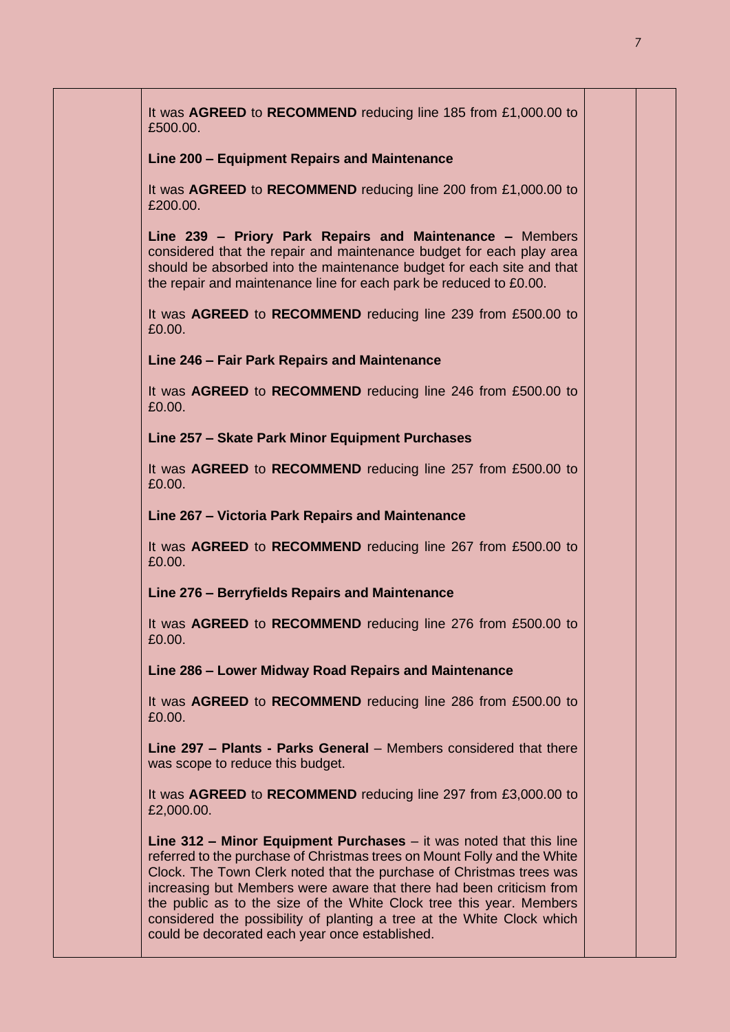| It was AGREED to RECOMMEND reducing line 185 from £1,000.00 to<br>£500.00.                                                                                                                                                                                                                                                                                                                                                                                                                           |  |
|------------------------------------------------------------------------------------------------------------------------------------------------------------------------------------------------------------------------------------------------------------------------------------------------------------------------------------------------------------------------------------------------------------------------------------------------------------------------------------------------------|--|
| Line 200 - Equipment Repairs and Maintenance                                                                                                                                                                                                                                                                                                                                                                                                                                                         |  |
| It was AGREED to RECOMMEND reducing line 200 from £1,000.00 to<br>£200.00.                                                                                                                                                                                                                                                                                                                                                                                                                           |  |
| Line 239 - Priory Park Repairs and Maintenance - Members<br>considered that the repair and maintenance budget for each play area<br>should be absorbed into the maintenance budget for each site and that<br>the repair and maintenance line for each park be reduced to £0.00.                                                                                                                                                                                                                      |  |
| It was AGREED to RECOMMEND reducing line 239 from £500.00 to<br>£0.00.                                                                                                                                                                                                                                                                                                                                                                                                                               |  |
| Line 246 - Fair Park Repairs and Maintenance                                                                                                                                                                                                                                                                                                                                                                                                                                                         |  |
| It was AGREED to RECOMMEND reducing line 246 from £500.00 to<br>£0.00.                                                                                                                                                                                                                                                                                                                                                                                                                               |  |
| Line 257 - Skate Park Minor Equipment Purchases                                                                                                                                                                                                                                                                                                                                                                                                                                                      |  |
| It was <b>AGREED</b> to <b>RECOMMEND</b> reducing line 257 from £500.00 to<br>£0.00.                                                                                                                                                                                                                                                                                                                                                                                                                 |  |
| Line 267 – Victoria Park Repairs and Maintenance                                                                                                                                                                                                                                                                                                                                                                                                                                                     |  |
| It was AGREED to RECOMMEND reducing line 267 from £500.00 to<br>£0.00.                                                                                                                                                                                                                                                                                                                                                                                                                               |  |
| Line 276 – Berryfields Repairs and Maintenance                                                                                                                                                                                                                                                                                                                                                                                                                                                       |  |
| It was AGREED to RECOMMEND reducing line 276 from £500.00 to<br>£0.00.                                                                                                                                                                                                                                                                                                                                                                                                                               |  |
| Line 286 - Lower Midway Road Repairs and Maintenance                                                                                                                                                                                                                                                                                                                                                                                                                                                 |  |
| It was <b>AGREED</b> to <b>RECOMMEND</b> reducing line 286 from £500.00 to<br>£0.00.                                                                                                                                                                                                                                                                                                                                                                                                                 |  |
| Line 297 - Plants - Parks General - Members considered that there<br>was scope to reduce this budget.                                                                                                                                                                                                                                                                                                                                                                                                |  |
| It was <b>AGREED</b> to <b>RECOMMEND</b> reducing line 297 from £3,000.00 to<br>£2,000.00.                                                                                                                                                                                                                                                                                                                                                                                                           |  |
| Line $312$ – Minor Equipment Purchases – it was noted that this line<br>referred to the purchase of Christmas trees on Mount Folly and the White<br>Clock. The Town Clerk noted that the purchase of Christmas trees was<br>increasing but Members were aware that there had been criticism from<br>the public as to the size of the White Clock tree this year. Members<br>considered the possibility of planting a tree at the White Clock which<br>could be decorated each year once established. |  |
|                                                                                                                                                                                                                                                                                                                                                                                                                                                                                                      |  |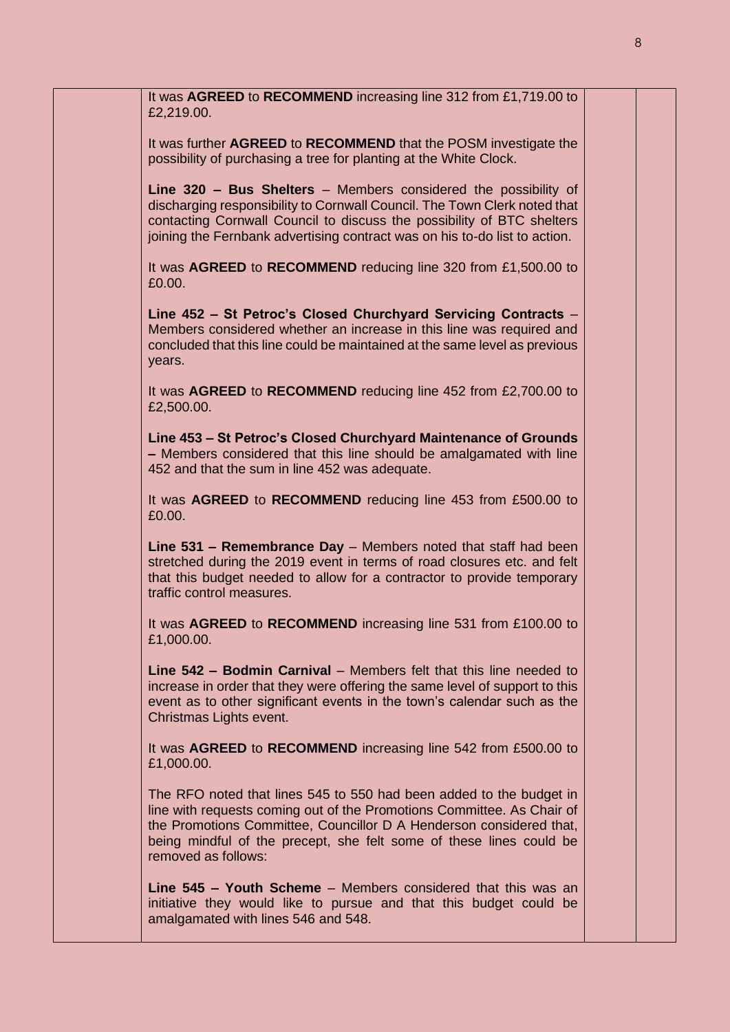| It was AGREED to RECOMMEND increasing line 312 from £1,719.00 to<br>£2,219.00.                                                                                                                                                                                                                                     |  |
|--------------------------------------------------------------------------------------------------------------------------------------------------------------------------------------------------------------------------------------------------------------------------------------------------------------------|--|
| It was further AGREED to RECOMMEND that the POSM investigate the<br>possibility of purchasing a tree for planting at the White Clock.                                                                                                                                                                              |  |
| Line 320 - Bus Shelters - Members considered the possibility of<br>discharging responsibility to Cornwall Council. The Town Clerk noted that<br>contacting Cornwall Council to discuss the possibility of BTC shelters<br>joining the Fernbank advertising contract was on his to-do list to action.               |  |
| It was AGREED to RECOMMEND reducing line 320 from £1,500.00 to<br>£0.00.                                                                                                                                                                                                                                           |  |
| Line 452 - St Petroc's Closed Churchyard Servicing Contracts -<br>Members considered whether an increase in this line was required and<br>concluded that this line could be maintained at the same level as previous<br>years.                                                                                     |  |
| It was AGREED to RECOMMEND reducing line 452 from £2,700.00 to<br>£2,500.00.                                                                                                                                                                                                                                       |  |
| Line 453 – St Petroc's Closed Churchyard Maintenance of Grounds<br>- Members considered that this line should be amalgamated with line<br>452 and that the sum in line 452 was adequate.                                                                                                                           |  |
| It was AGREED to RECOMMEND reducing line 453 from £500.00 to<br>£0.00.                                                                                                                                                                                                                                             |  |
| Line 531 - Remembrance Day - Members noted that staff had been<br>stretched during the 2019 event in terms of road closures etc. and felt<br>that this budget needed to allow for a contractor to provide temporary<br>traffic control measures.                                                                   |  |
| It was AGREED to RECOMMEND increasing line 531 from £100.00 to<br>£1,000.00.                                                                                                                                                                                                                                       |  |
| Line 542 - Bodmin Carnival - Members felt that this line needed to<br>increase in order that they were offering the same level of support to this<br>event as to other significant events in the town's calendar such as the<br>Christmas Lights event.                                                            |  |
| It was AGREED to RECOMMEND increasing line 542 from £500.00 to<br>£1,000.00.                                                                                                                                                                                                                                       |  |
| The RFO noted that lines 545 to 550 had been added to the budget in<br>line with requests coming out of the Promotions Committee. As Chair of<br>the Promotions Committee, Councillor D A Henderson considered that,<br>being mindful of the precept, she felt some of these lines could be<br>removed as follows: |  |
| Line 545 - Youth Scheme - Members considered that this was an<br>initiative they would like to pursue and that this budget could be<br>amalgamated with lines 546 and 548.                                                                                                                                         |  |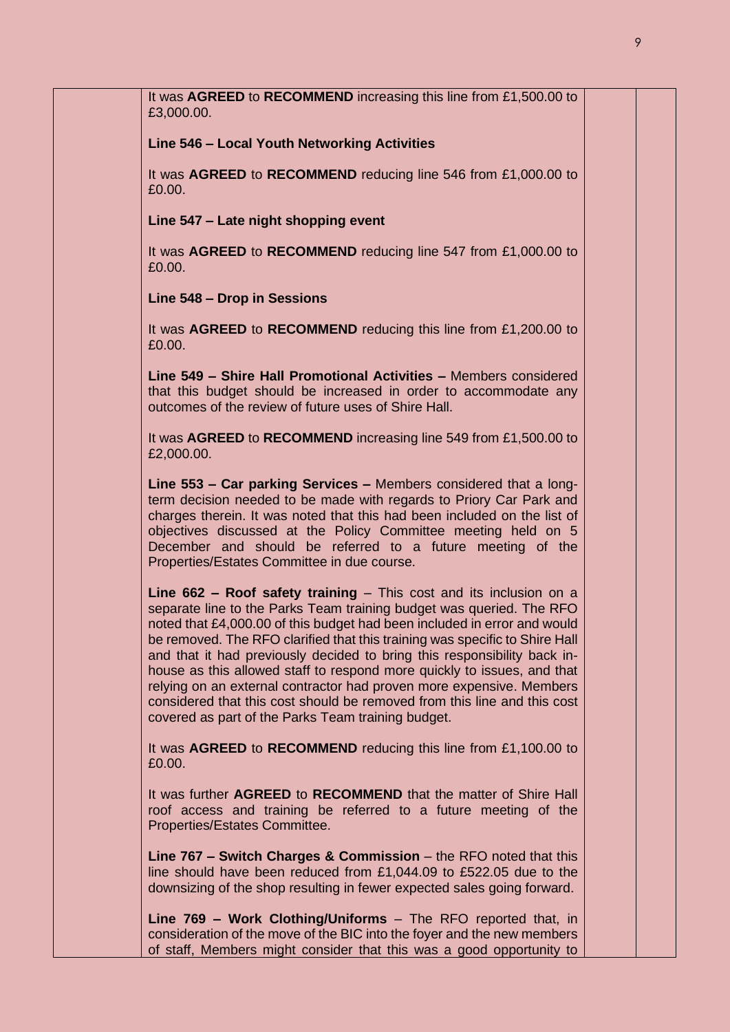| It was AGREED to RECOMMEND increasing this line from £1,500.00 to<br>£3,000.00.                                                                                                                                                                                                                                                                                                                                                                                                                                                                                                                                                                                          |  |
|--------------------------------------------------------------------------------------------------------------------------------------------------------------------------------------------------------------------------------------------------------------------------------------------------------------------------------------------------------------------------------------------------------------------------------------------------------------------------------------------------------------------------------------------------------------------------------------------------------------------------------------------------------------------------|--|
| Line 546 - Local Youth Networking Activities                                                                                                                                                                                                                                                                                                                                                                                                                                                                                                                                                                                                                             |  |
| It was AGREED to RECOMMEND reducing line 546 from £1,000.00 to<br>£0.00.                                                                                                                                                                                                                                                                                                                                                                                                                                                                                                                                                                                                 |  |
| Line 547 - Late night shopping event                                                                                                                                                                                                                                                                                                                                                                                                                                                                                                                                                                                                                                     |  |
| It was AGREED to RECOMMEND reducing line 547 from £1,000.00 to<br>£0.00.                                                                                                                                                                                                                                                                                                                                                                                                                                                                                                                                                                                                 |  |
| Line 548 - Drop in Sessions                                                                                                                                                                                                                                                                                                                                                                                                                                                                                                                                                                                                                                              |  |
| It was AGREED to RECOMMEND reducing this line from £1,200.00 to<br>£0.00.                                                                                                                                                                                                                                                                                                                                                                                                                                                                                                                                                                                                |  |
| Line 549 - Shire Hall Promotional Activities - Members considered<br>that this budget should be increased in order to accommodate any<br>outcomes of the review of future uses of Shire Hall.                                                                                                                                                                                                                                                                                                                                                                                                                                                                            |  |
| It was AGREED to RECOMMEND increasing line 549 from £1,500.00 to<br>£2,000.00.                                                                                                                                                                                                                                                                                                                                                                                                                                                                                                                                                                                           |  |
| Line 553 - Car parking Services - Members considered that a long-<br>term decision needed to be made with regards to Priory Car Park and<br>charges therein. It was noted that this had been included on the list of<br>objectives discussed at the Policy Committee meeting held on 5<br>December and should be referred to a future meeting of the<br>Properties/Estates Committee in due course.                                                                                                                                                                                                                                                                      |  |
| Line $662$ – Roof safety training – This cost and its inclusion on a<br>separate line to the Parks Team training budget was queried. The RFO<br>noted that £4,000.00 of this budget had been included in error and would<br>be removed. The RFO clarified that this training was specific to Shire Hall<br>and that it had previously decided to bring this responsibility back in-<br>house as this allowed staff to respond more quickly to issues, and that<br>relying on an external contractor had proven more expensive. Members<br>considered that this cost should be removed from this line and this cost<br>covered as part of the Parks Team training budget. |  |
| It was AGREED to RECOMMEND reducing this line from £1,100.00 to<br>£0.00.                                                                                                                                                                                                                                                                                                                                                                                                                                                                                                                                                                                                |  |
| It was further AGREED to RECOMMEND that the matter of Shire Hall<br>roof access and training be referred to a future meeting of the<br>Properties/Estates Committee.                                                                                                                                                                                                                                                                                                                                                                                                                                                                                                     |  |
| Line $767$ – Switch Charges & Commission – the RFO noted that this<br>line should have been reduced from £1,044.09 to £522.05 due to the<br>downsizing of the shop resulting in fewer expected sales going forward.                                                                                                                                                                                                                                                                                                                                                                                                                                                      |  |
| Line 769 - Work Clothing/Uniforms - The RFO reported that, in<br>consideration of the move of the BIC into the foyer and the new members<br>of staff, Members might consider that this was a good opportunity to                                                                                                                                                                                                                                                                                                                                                                                                                                                         |  |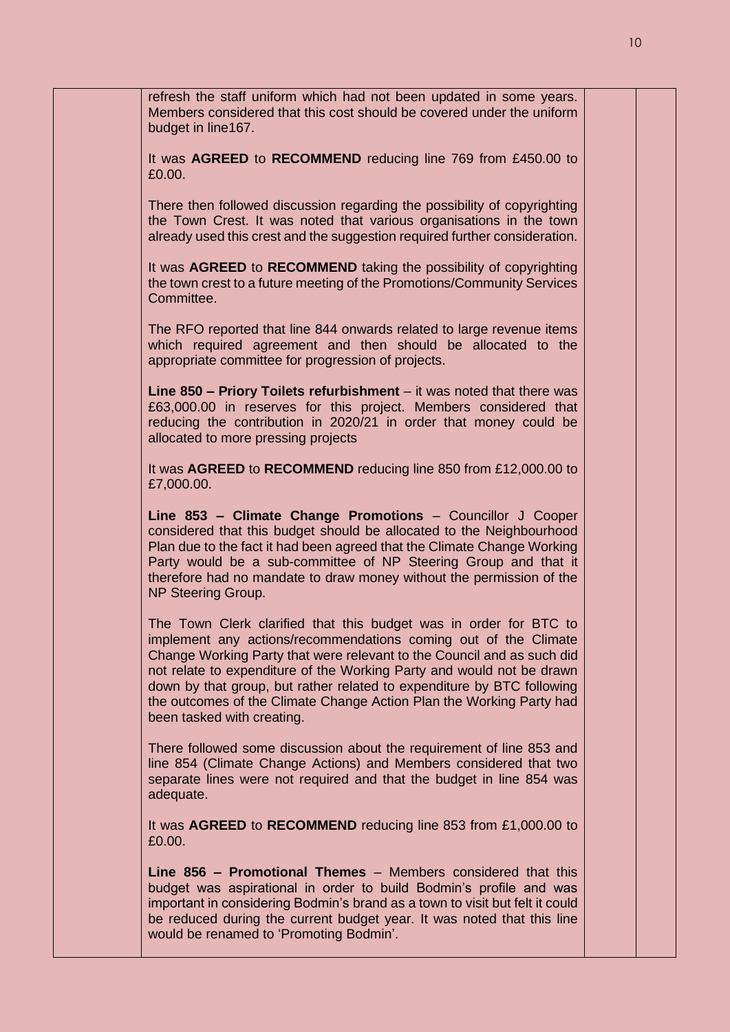| refresh the staff uniform which had not been updated in some years.<br>Members considered that this cost should be covered under the uniform<br>budget in line167.                                                                                                                                                                                                                                                                                                      |  |
|-------------------------------------------------------------------------------------------------------------------------------------------------------------------------------------------------------------------------------------------------------------------------------------------------------------------------------------------------------------------------------------------------------------------------------------------------------------------------|--|
| It was AGREED to RECOMMEND reducing line 769 from £450.00 to<br>£0.00.                                                                                                                                                                                                                                                                                                                                                                                                  |  |
| There then followed discussion regarding the possibility of copyrighting<br>the Town Crest. It was noted that various organisations in the town<br>already used this crest and the suggestion required further consideration.                                                                                                                                                                                                                                           |  |
| It was AGREED to RECOMMEND taking the possibility of copyrighting<br>the town crest to a future meeting of the Promotions/Community Services<br>Committee.                                                                                                                                                                                                                                                                                                              |  |
| The RFO reported that line 844 onwards related to large revenue items<br>which required agreement and then should be allocated to the<br>appropriate committee for progression of projects.                                                                                                                                                                                                                                                                             |  |
| Line $850$ – Priory Toilets refurbishment – it was noted that there was<br>£63,000.00 in reserves for this project. Members considered that<br>reducing the contribution in 2020/21 in order that money could be<br>allocated to more pressing projects                                                                                                                                                                                                                 |  |
| It was AGREED to RECOMMEND reducing line 850 from £12,000.00 to<br>£7,000.00.                                                                                                                                                                                                                                                                                                                                                                                           |  |
| Line 853 - Climate Change Promotions - Councillor J Cooper<br>considered that this budget should be allocated to the Neighbourhood<br>Plan due to the fact it had been agreed that the Climate Change Working<br>Party would be a sub-committee of NP Steering Group and that it<br>therefore had no mandate to draw money without the permission of the<br>NP Steering Group.                                                                                          |  |
| The Town Clerk clarified that this budget was in order for BTC to<br>implement any actions/recommendations coming out of the Climate<br>Change Working Party that were relevant to the Council and as such did<br>not relate to expenditure of the Working Party and would not be drawn<br>down by that group, but rather related to expenditure by BTC following<br>the outcomes of the Climate Change Action Plan the Working Party had<br>been tasked with creating. |  |
| There followed some discussion about the requirement of line 853 and<br>line 854 (Climate Change Actions) and Members considered that two<br>separate lines were not required and that the budget in line 854 was<br>adequate.                                                                                                                                                                                                                                          |  |
| It was AGREED to RECOMMEND reducing line 853 from £1,000.00 to<br>£0.00.                                                                                                                                                                                                                                                                                                                                                                                                |  |
| Line 856 - Promotional Themes - Members considered that this<br>budget was aspirational in order to build Bodmin's profile and was<br>important in considering Bodmin's brand as a town to visit but felt it could<br>be reduced during the current budget year. It was noted that this line<br>would be renamed to 'Promoting Bodmin'.                                                                                                                                 |  |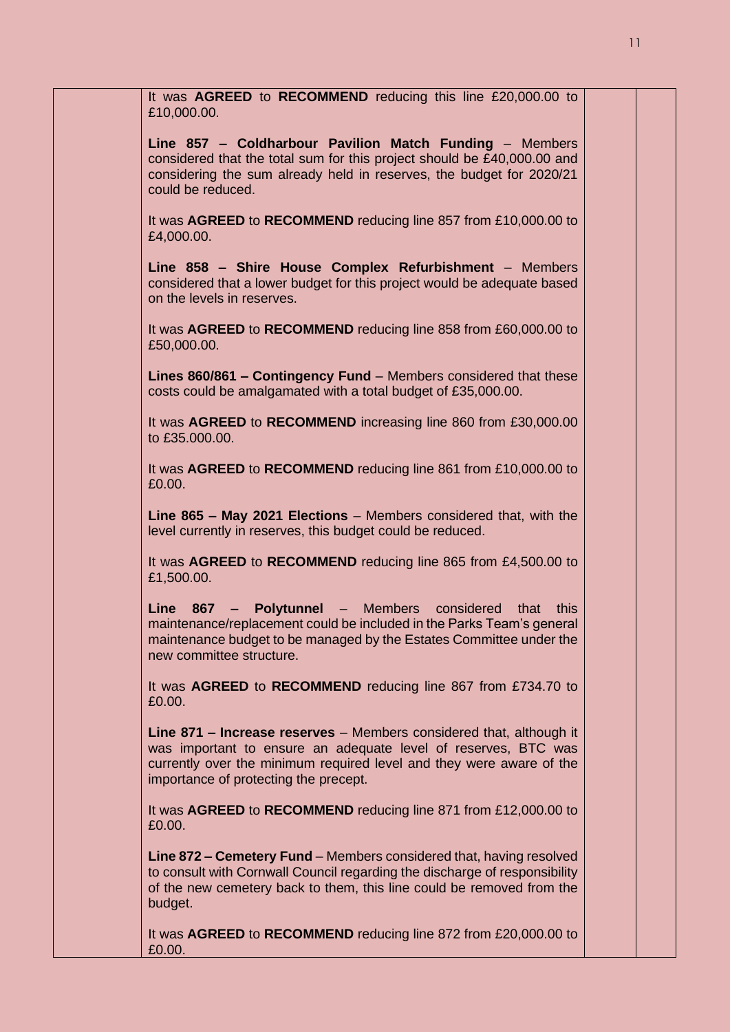| It was AGREED to RECOMMEND reducing this line £20,000.00 to<br>£10,000.00.                                                                                                                                                                             |  |
|--------------------------------------------------------------------------------------------------------------------------------------------------------------------------------------------------------------------------------------------------------|--|
| Line 857 - Coldharbour Pavilion Match Funding - Members<br>considered that the total sum for this project should be £40,000.00 and<br>considering the sum already held in reserves, the budget for 2020/21<br>could be reduced.                        |  |
| It was AGREED to RECOMMEND reducing line 857 from £10,000.00 to<br>£4,000.00.                                                                                                                                                                          |  |
| Line 858 - Shire House Complex Refurbishment - Members<br>considered that a lower budget for this project would be adequate based<br>on the levels in reserves.                                                                                        |  |
| It was AGREED to RECOMMEND reducing line 858 from £60,000.00 to<br>£50,000.00.                                                                                                                                                                         |  |
| Lines 860/861 - Contingency Fund - Members considered that these<br>costs could be amalgamated with a total budget of £35,000.00.                                                                                                                      |  |
| It was AGREED to RECOMMEND increasing line 860 from £30,000.00<br>to £35.000.00.                                                                                                                                                                       |  |
| It was AGREED to RECOMMEND reducing line 861 from £10,000.00 to<br>£0.00.                                                                                                                                                                              |  |
| Line 865 - May 2021 Elections - Members considered that, with the<br>level currently in reserves, this budget could be reduced.                                                                                                                        |  |
| It was AGREED to RECOMMEND reducing line 865 from £4,500.00 to<br>£1,500.00.                                                                                                                                                                           |  |
| Line 867 - Polytunnel - Members considered that this<br>maintenance/replacement could be included in the Parks Team's general<br>maintenance budget to be managed by the Estates Committee under the<br>new committee structure.                       |  |
| It was AGREED to RECOMMEND reducing line 867 from £734.70 to<br>£0.00.                                                                                                                                                                                 |  |
| Line 871 - Increase reserves - Members considered that, although it<br>was important to ensure an adequate level of reserves, BTC was<br>currently over the minimum required level and they were aware of the<br>importance of protecting the precept. |  |
| It was AGREED to RECOMMEND reducing line 871 from £12,000.00 to<br>£0.00.                                                                                                                                                                              |  |
| Line 872 – Cemetery Fund – Members considered that, having resolved<br>to consult with Cornwall Council regarding the discharge of responsibility<br>of the new cemetery back to them, this line could be removed from the<br>budget.                  |  |
| It was AGREED to RECOMMEND reducing line 872 from £20,000.00 to<br>£0.00.                                                                                                                                                                              |  |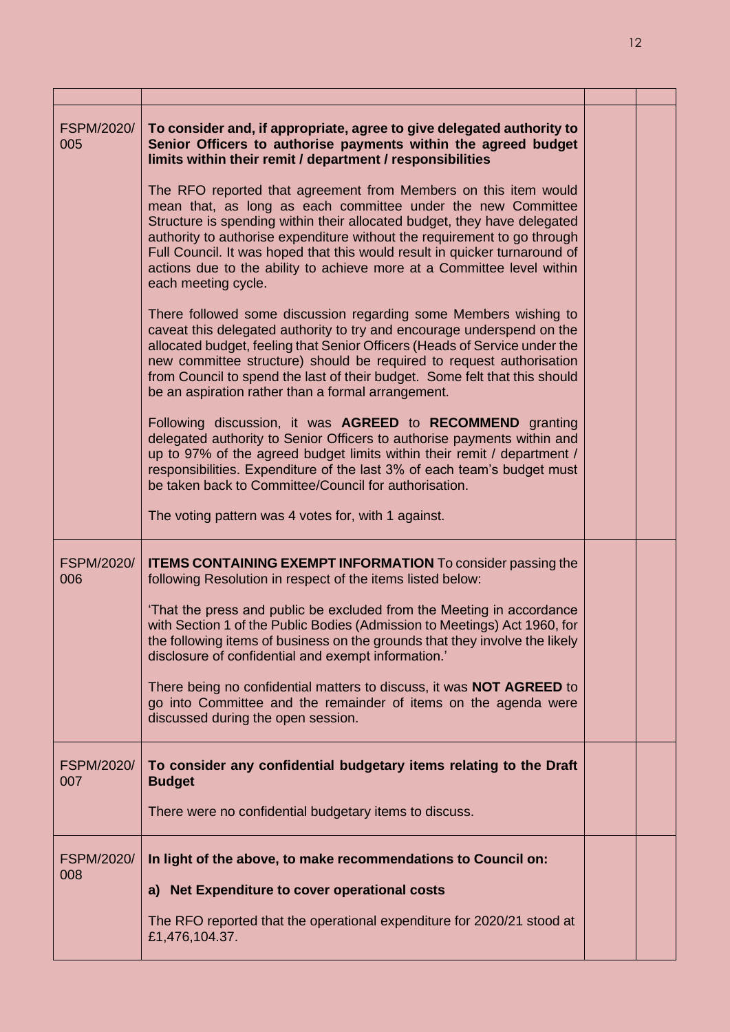| FSPM/2020/<br>005        | To consider and, if appropriate, agree to give delegated authority to<br>Senior Officers to authorise payments within the agreed budget<br>limits within their remit / department / responsibilities                                                                                                                                                                                                                                                                   |  |
|--------------------------|------------------------------------------------------------------------------------------------------------------------------------------------------------------------------------------------------------------------------------------------------------------------------------------------------------------------------------------------------------------------------------------------------------------------------------------------------------------------|--|
|                          | The RFO reported that agreement from Members on this item would<br>mean that, as long as each committee under the new Committee<br>Structure is spending within their allocated budget, they have delegated<br>authority to authorise expenditure without the requirement to go through<br>Full Council. It was hoped that this would result in quicker turnaround of<br>actions due to the ability to achieve more at a Committee level within<br>each meeting cycle. |  |
|                          | There followed some discussion regarding some Members wishing to<br>caveat this delegated authority to try and encourage underspend on the<br>allocated budget, feeling that Senior Officers (Heads of Service under the<br>new committee structure) should be required to request authorisation<br>from Council to spend the last of their budget. Some felt that this should<br>be an aspiration rather than a formal arrangement.                                   |  |
|                          | Following discussion, it was AGREED to RECOMMEND granting<br>delegated authority to Senior Officers to authorise payments within and<br>up to 97% of the agreed budget limits within their remit / department /<br>responsibilities. Expenditure of the last 3% of each team's budget must<br>be taken back to Committee/Council for authorisation.<br>The voting pattern was 4 votes for, with 1 against.                                                             |  |
|                          |                                                                                                                                                                                                                                                                                                                                                                                                                                                                        |  |
| FSPM/2020/<br>006        | <b>ITEMS CONTAINING EXEMPT INFORMATION</b> To consider passing the<br>following Resolution in respect of the items listed below:<br>'That the press and public be excluded from the Meeting in accordance                                                                                                                                                                                                                                                              |  |
|                          | with Section 1 of the Public Bodies (Admission to Meetings) Act 1960, for<br>the following items of business on the grounds that they involve the likely<br>disclosure of confidential and exempt information.'                                                                                                                                                                                                                                                        |  |
|                          | There being no confidential matters to discuss, it was <b>NOT AGREED</b> to<br>go into Committee and the remainder of items on the agenda were<br>discussed during the open session.                                                                                                                                                                                                                                                                                   |  |
| <b>FSPM/2020/</b><br>007 | To consider any confidential budgetary items relating to the Draft<br><b>Budget</b>                                                                                                                                                                                                                                                                                                                                                                                    |  |
|                          | There were no confidential budgetary items to discuss.                                                                                                                                                                                                                                                                                                                                                                                                                 |  |
| <b>FSPM/2020/</b><br>008 | In light of the above, to make recommendations to Council on:                                                                                                                                                                                                                                                                                                                                                                                                          |  |
|                          | a) Net Expenditure to cover operational costs                                                                                                                                                                                                                                                                                                                                                                                                                          |  |
|                          | The RFO reported that the operational expenditure for 2020/21 stood at<br>£1,476,104.37.                                                                                                                                                                                                                                                                                                                                                                               |  |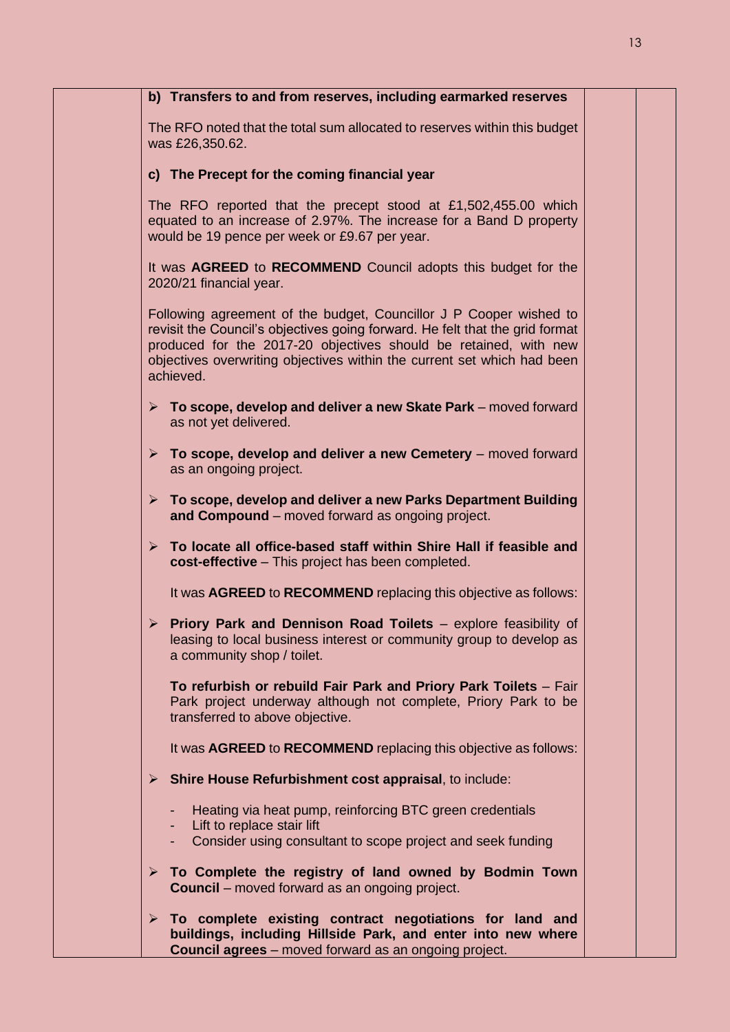| b) Transfers to and from reserves, including earmarked reserves                                                                                                                                                                                                                                                |
|----------------------------------------------------------------------------------------------------------------------------------------------------------------------------------------------------------------------------------------------------------------------------------------------------------------|
| The RFO noted that the total sum allocated to reserves within this budget<br>was £26,350.62.                                                                                                                                                                                                                   |
| c) The Precept for the coming financial year                                                                                                                                                                                                                                                                   |
| The RFO reported that the precept stood at £1,502,455.00 which<br>equated to an increase of 2.97%. The increase for a Band D property<br>would be 19 pence per week or £9.67 per year.                                                                                                                         |
| It was AGREED to RECOMMEND Council adopts this budget for the<br>2020/21 financial year.                                                                                                                                                                                                                       |
| Following agreement of the budget, Councillor J P Cooper wished to<br>revisit the Council's objectives going forward. He felt that the grid format<br>produced for the 2017-20 objectives should be retained, with new<br>objectives overwriting objectives within the current set which had been<br>achieved. |
| $\triangleright$ To scope, develop and deliver a new Skate Park – moved forward<br>as not yet delivered.                                                                                                                                                                                                       |
| $\triangleright$ To scope, develop and deliver a new Cemetery – moved forward<br>as an ongoing project.                                                                                                                                                                                                        |
| $\triangleright$ To scope, develop and deliver a new Parks Department Building<br>and Compound – moved forward as ongoing project.                                                                                                                                                                             |
| $\triangleright$ To locate all office-based staff within Shire Hall if feasible and<br>cost-effective - This project has been completed.                                                                                                                                                                       |
| It was AGREED to RECOMMEND replacing this objective as follows:                                                                                                                                                                                                                                                |
| $\triangleright$ Priory Park and Dennison Road Toilets - explore feasibility of<br>leasing to local business interest or community group to develop as<br>a community shop / toilet.                                                                                                                           |
| To refurbish or rebuild Fair Park and Priory Park Toilets - Fair<br>Park project underway although not complete, Priory Park to be<br>transferred to above objective.                                                                                                                                          |
| It was AGREED to RECOMMEND replacing this objective as follows:                                                                                                                                                                                                                                                |
| $\triangleright$ Shire House Refurbishment cost appraisal, to include:                                                                                                                                                                                                                                         |
| Heating via heat pump, reinforcing BTC green credentials<br>- Lift to replace stair lift<br>Consider using consultant to scope project and seek funding<br>$\blacksquare$                                                                                                                                      |
| $\triangleright$ To Complete the registry of land owned by Bodmin Town<br><b>Council</b> – moved forward as an ongoing project.                                                                                                                                                                                |
| $\triangleright$ To complete existing contract negotiations for land and<br>buildings, including Hillside Park, and enter into new where<br><b>Council agrees</b> – moved forward as an ongoing project.                                                                                                       |
|                                                                                                                                                                                                                                                                                                                |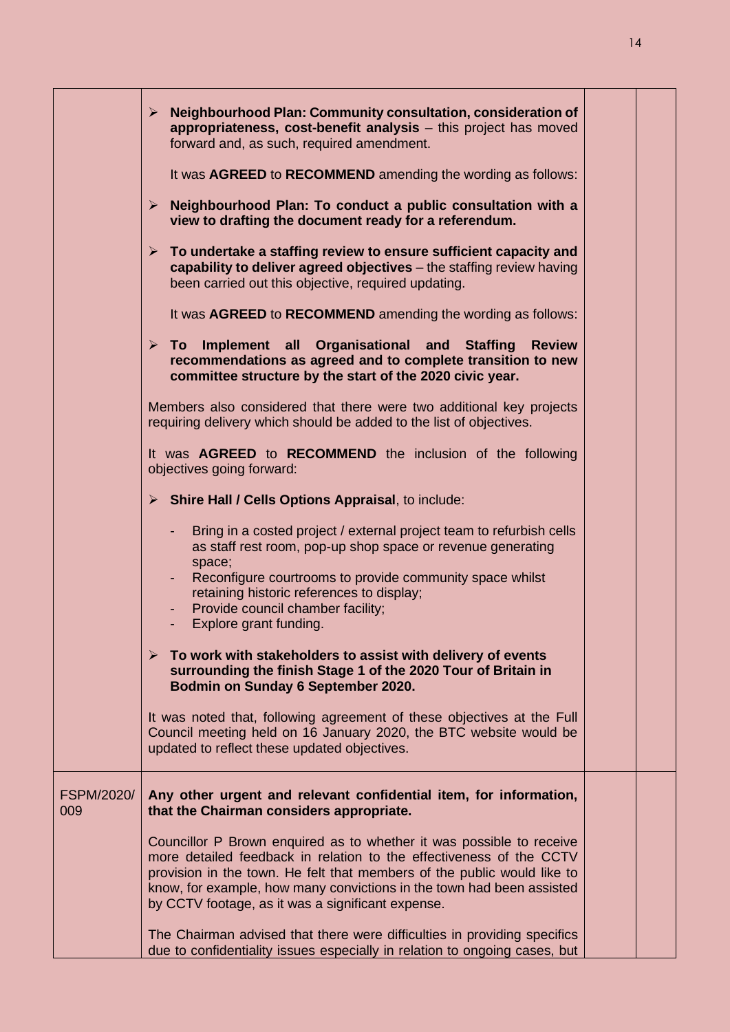|                          | $\triangleright$ Neighbourhood Plan: Community consultation, consideration of<br>appropriateness, cost-benefit analysis - this project has moved<br>forward and, as such, required amendment.<br>It was AGREED to RECOMMEND amending the wording as follows:                                                                                         |  |
|--------------------------|------------------------------------------------------------------------------------------------------------------------------------------------------------------------------------------------------------------------------------------------------------------------------------------------------------------------------------------------------|--|
|                          | $\triangleright$ Neighbourhood Plan: To conduct a public consultation with a<br>view to drafting the document ready for a referendum.                                                                                                                                                                                                                |  |
|                          | $\triangleright$ To undertake a staffing review to ensure sufficient capacity and<br>capability to deliver agreed objectives - the staffing review having<br>been carried out this objective, required updating.                                                                                                                                     |  |
|                          | It was AGREED to RECOMMEND amending the wording as follows:                                                                                                                                                                                                                                                                                          |  |
|                          | $\triangleright$ To Implement all Organisational and Staffing Review<br>recommendations as agreed and to complete transition to new<br>committee structure by the start of the 2020 civic year.                                                                                                                                                      |  |
|                          | Members also considered that there were two additional key projects<br>requiring delivery which should be added to the list of objectives.                                                                                                                                                                                                           |  |
|                          | It was AGREED to RECOMMEND the inclusion of the following<br>objectives going forward:                                                                                                                                                                                                                                                               |  |
|                          | $\triangleright$ Shire Hall / Cells Options Appraisal, to include:                                                                                                                                                                                                                                                                                   |  |
|                          | Bring in a costed project / external project team to refurbish cells<br>as staff rest room, pop-up shop space or revenue generating<br>space;<br>Reconfigure courtrooms to provide community space whilst<br>retaining historic references to display;<br>Provide council chamber facility;<br>Explore grant funding.                                |  |
|                          | $\triangleright$ To work with stakeholders to assist with delivery of events<br>surrounding the finish Stage 1 of the 2020 Tour of Britain in<br>Bodmin on Sunday 6 September 2020.                                                                                                                                                                  |  |
|                          | It was noted that, following agreement of these objectives at the Full<br>Council meeting held on 16 January 2020, the BTC website would be<br>updated to reflect these updated objectives.                                                                                                                                                          |  |
| <b>FSPM/2020/</b><br>009 | Any other urgent and relevant confidential item, for information,<br>that the Chairman considers appropriate.                                                                                                                                                                                                                                        |  |
|                          | Councillor P Brown enquired as to whether it was possible to receive<br>more detailed feedback in relation to the effectiveness of the CCTV<br>provision in the town. He felt that members of the public would like to<br>know, for example, how many convictions in the town had been assisted<br>by CCTV footage, as it was a significant expense. |  |
|                          | The Chairman advised that there were difficulties in providing specifics<br>due to confidentiality issues especially in relation to ongoing cases, but                                                                                                                                                                                               |  |